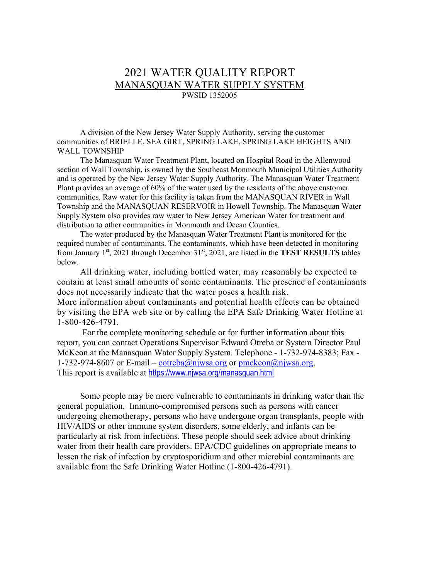# 2021 WATER QUALITY REPORT MANASQUAN WATER SUPPLY SYSTEM PWSID 1352005

A division of the New Jersey Water Supply Authority, serving the customer communities of BRIELLE, SEA GIRT, SPRING LAKE, SPRING LAKE HEIGHTS AND WALL TOWNSHIP

The Manasquan Water Treatment Plant, located on Hospital Road in the Allenwood section of Wall Township, is owned by the Southeast Monmouth Municipal Utilities Authority and is operated by the New Jersey Water Supply Authority. The Manasquan Water Treatment Plant provides an average of 60% of the water used by the residents of the above customer communities. Raw water for this facility is taken from the MANASQUAN RIVER in Wall Township and the MANASQUAN RESERVOIR in Howell Township. The Manasquan Water Supply System also provides raw water to New Jersey American Water for treatment and distribution to other communities in Monmouth and Ocean Counties.

The water produced by the Manasquan Water Treatment Plant is monitored for the required number of contaminants. The contaminants, which have been detected in monitoring from January 1<sup>st</sup>, 2021 through December 31<sup>st</sup>, 2021, are listed in the **TEST RESULTS** tables below.

All drinking water, including bottled water, may reasonably be expected to contain at least small amounts of some contaminants. The presence of contaminants does not necessarily indicate that the water poses a health risk. More information about contaminants and potential health effects can be obtained by visiting the EPA web site or by calling the EPA Safe Drinking Water Hotline at 1-800-426-4791.

For the complete monitoring schedule or for further information about this report, you can contact Operations Supervisor Edward Otreba or System Director Paul McKeon at the Manasquan Water Supply System. Telephone - 1-732-974-8383; Fax 1-732-974-8607 or E-mail – [eotreba@njwsa.org](mailto:eotreba@njwsa.org) or [pmckeon@njwsa.org.](mailto:pmckeon@njwsa.org) This report is available at <https://www.njwsa.org/manasquan.html>

Some people may be more vulnerable to contaminants in drinking water than the general population. Immuno-compromised persons such as persons with cancer undergoing chemotherapy, persons who have undergone organ transplants, people with HIV/AIDS or other immune system disorders, some elderly, and infants can be particularly at risk from infections. These people should seek advice about drinking water from their health care providers. EPA/CDC guidelines on appropriate means to lessen the risk of infection by cryptosporidium and other microbial contaminants are available from the Safe Drinking Water Hotline (1-800-426-4791).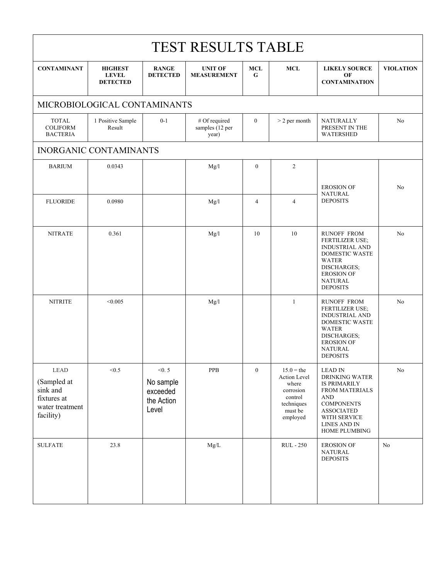| <b>TEST RESULTS TABLE</b>                                                              |                                                   |                                                       |                                           |                  |                                                                                                    |                                                                                                                                                                                    |                  |  |  |  |  |  |  |
|----------------------------------------------------------------------------------------|---------------------------------------------------|-------------------------------------------------------|-------------------------------------------|------------------|----------------------------------------------------------------------------------------------------|------------------------------------------------------------------------------------------------------------------------------------------------------------------------------------|------------------|--|--|--|--|--|--|
| <b>CONTAMINANT</b>                                                                     | <b>HIGHEST</b><br><b>LEVEL</b><br><b>DETECTED</b> | <b>RANGE</b><br><b>DETECTED</b>                       | <b>UNIT OF</b><br><b>MEASUREMENT</b>      | <b>MCL</b><br>G  | <b>MCL</b>                                                                                         | <b>LIKELY SOURCE</b><br>OF<br><b>CONTAMINATION</b>                                                                                                                                 | <b>VIOLATION</b> |  |  |  |  |  |  |
|                                                                                        | MICROBIOLOGICAL CONTAMINANTS                      |                                                       |                                           |                  |                                                                                                    |                                                                                                                                                                                    |                  |  |  |  |  |  |  |
| <b>TOTAL</b><br><b>COLIFORM</b><br><b>BACTERIA</b>                                     | 1 Positive Sample<br>Result                       | $0 - 1$                                               | # Of required<br>samples (12 per<br>year) | $\boldsymbol{0}$ | <b>NATURALLY</b><br>PRESENT IN THE<br><b>WATERSHED</b>                                             | No                                                                                                                                                                                 |                  |  |  |  |  |  |  |
| <b>INORGANIC CONTAMINANTS</b>                                                          |                                                   |                                                       |                                           |                  |                                                                                                    |                                                                                                                                                                                    |                  |  |  |  |  |  |  |
| <b>BARIUM</b>                                                                          | 0.0343                                            |                                                       | Mg/1                                      | $\mathbf{0}$     | 2                                                                                                  |                                                                                                                                                                                    |                  |  |  |  |  |  |  |
|                                                                                        |                                                   |                                                       |                                           |                  |                                                                                                    | <b>EROSION OF</b>                                                                                                                                                                  | No               |  |  |  |  |  |  |
| <b>FLUORIDE</b>                                                                        | 0.0980                                            |                                                       | Mg/l                                      | $\overline{4}$   | $\overline{4}$                                                                                     | <b>NATURAL</b><br><b>DEPOSITS</b>                                                                                                                                                  |                  |  |  |  |  |  |  |
| <b>NITRATE</b>                                                                         | 0.361                                             |                                                       | Mg/l                                      | 10               | 10                                                                                                 | <b>RUNOFF FROM</b><br>FERTILIZER USE;<br><b>INDUSTRIAL AND</b><br>DOMESTIC WASTE<br><b>WATER</b><br>DISCHARGES;<br><b>EROSION OF</b><br><b>NATURAL</b><br><b>DEPOSITS</b>          | N <sub>o</sub>   |  |  |  |  |  |  |
| <b>NITRITE</b>                                                                         | < 0.005                                           |                                                       | Mg/l                                      |                  | $\mathbf{1}$                                                                                       | <b>RUNOFF FROM</b><br>FERTILIZER USE;<br><b>INDUSTRIAL AND</b><br>DOMESTIC WASTE<br><b>WATER</b><br>DISCHARGES;<br><b>EROSION OF</b><br><b>NATURAL</b><br><b>DEPOSITS</b>          | No               |  |  |  |  |  |  |
| ${\rm LEAD}$<br>(Sampled at<br>sink and<br>fixtures at<br>water treatment<br>facility) | < 0.5                                             | < 0.5<br>No sample<br>exceeded<br>the Action<br>Level | ${\bf PPB}$                               | $\boldsymbol{0}$ | $15.0$ = the<br>Action Level<br>where<br>corrosion<br>control<br>techniques<br>must be<br>employed | <b>LEAD IN</b><br>DRINKING WATER<br><b>IS PRIMARILY</b><br>FROM MATERIALS<br><b>AND</b><br><b>COMPONENTS</b><br><b>ASSOCIATED</b><br>WITH SERVICE<br>LINES AND IN<br>HOME PLUMBING | $\rm No$         |  |  |  |  |  |  |
| <b>SULFATE</b>                                                                         | 23.8                                              |                                                       | Mg/L                                      |                  | <b>RUL</b> - 250                                                                                   | <b>EROSION OF</b><br>NATURAL<br><b>DEPOSITS</b>                                                                                                                                    | No               |  |  |  |  |  |  |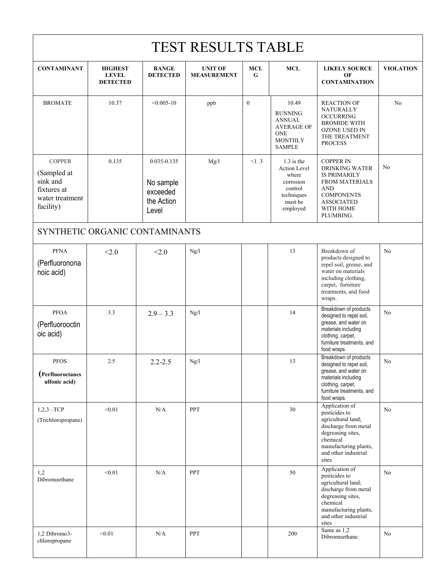|                                                                                         | <b>TEST RESULTS TABLE</b>                         |                                                                 |                                      |                 |                                                                                                                |                                                                                                                                                                             |                  |  |  |  |  |  |  |
|-----------------------------------------------------------------------------------------|---------------------------------------------------|-----------------------------------------------------------------|--------------------------------------|-----------------|----------------------------------------------------------------------------------------------------------------|-----------------------------------------------------------------------------------------------------------------------------------------------------------------------------|------------------|--|--|--|--|--|--|
| <b>CONTAMINANT</b>                                                                      | <b>HIGHEST</b><br><b>LEVEL</b><br><b>DETECTED</b> | <b>RANGE</b><br><b>DETECTED</b>                                 | <b>UNIT OF</b><br><b>MEASUREMENT</b> | <b>MCL</b><br>G | <b>MCL</b>                                                                                                     | <b>LIKELY SOURCE</b><br>OF<br><b>CONTAMINATION</b>                                                                                                                          | <b>VIOLATION</b> |  |  |  |  |  |  |
| <b>BROMATE</b>                                                                          | 10.37                                             | $< 0.005 - 10$                                                  | ppb                                  | $\mathbf{0}$    | 10.49<br><b>RUNNING</b><br><b>ANNUAL</b><br><b>AVERAGE OF</b><br><b>ONE</b><br><b>MONTHLY</b><br><b>SAMPLE</b> | <b>REACTION OF</b><br><b>NATURALLY</b><br><b>OCCURRING</b><br><b>BROMIDE WITH</b><br>OZONE USED IN<br>THE TREATMENT<br><b>PROCESS</b>                                       | N <sub>o</sub>   |  |  |  |  |  |  |
| <b>COPPER</b><br>(Sampled at<br>sink and<br>fixtures at<br>water treatment<br>facility) | 0.135                                             | $0.035 - 0.135$<br>No sample<br>exceeded<br>the Action<br>Level | Mg/1                                 | <1.3            | $1.3$ is the<br>Action Level<br>where<br>corrosion<br>control<br>techniques<br>must be<br>employed             | <b>COPPER IN</b><br><b>DRINKING WATER</b><br><b>IS PRIMARILY</b><br><b>FROM MATERIALS</b><br><b>AND</b><br><b>COMPONENTS</b><br><b>ASSOCIATED</b><br>WITH HOME<br>PLUMBING. | No               |  |  |  |  |  |  |
| SYNTHETIC ORGANIC CONTAMINANTS                                                          |                                                   |                                                                 |                                      |                 |                                                                                                                |                                                                                                                                                                             |                  |  |  |  |  |  |  |
| <b>PFNA</b><br>(Perfluoronona<br>noic acid)                                             | < 2.0                                             | < 2.0                                                           | Ng/l                                 |                 | 13                                                                                                             | Breakdown of<br>products designed to<br>repel soil, grease, and<br>water on materials<br>including clothing,<br>carpet, furniture<br>treatments, and food<br>wraps.         | No               |  |  |  |  |  |  |
| <b>PFOA</b><br>(Perfluorooctin<br>oic acid)                                             | 3.3                                               | $2.9 - 3.3$                                                     | Ng/l                                 |                 | 14                                                                                                             | Breakdown of products<br>designed to repel soil,<br>grease, and water on<br>materials including<br>clothing, carpet,<br>furniture treatments, and<br>food wraps.            | No               |  |  |  |  |  |  |
| ${\rm PFOS}$<br>(Perfluoroctanes<br>ulfonic acid)                                       | 2.5                                               | $2.2 - 2.5$                                                     | $\rm Ng/l$                           |                 | 13                                                                                                             | Breakdown of products<br>designed to repel soil,<br>grease, and water on<br>materials including<br>clothing, carpet,<br>furniture treatments, and<br>food wraps.            | ${\rm No}$       |  |  |  |  |  |  |
| $1,2,3 - TCP$<br>(Trichloropropane)                                                     | < 0.01                                            | N/A                                                             | <b>PPT</b>                           |                 | 30                                                                                                             | Application of<br>pesticides to<br>agricultural land;<br>discharge from metal<br>degreasing sites,<br>chemical<br>manufacturing plants,<br>and other industrial<br>sites    | No               |  |  |  |  |  |  |
| 1,2<br>Dibromoethane                                                                    | < 0.01                                            | N/A                                                             | PPT                                  |                 | 50                                                                                                             | Application of<br>pesticides to<br>agricultural land;<br>discharge from metal<br>degreasing sites,<br>chemical<br>manufacturing plants,<br>and other industrial<br>sites    | No               |  |  |  |  |  |  |
| 1,2 Dibromo3-<br>chloropropane                                                          | < 0.01                                            | N/A                                                             | PPT                                  |                 | 200                                                                                                            | Same as 1,2<br>Dibromoethane                                                                                                                                                | No               |  |  |  |  |  |  |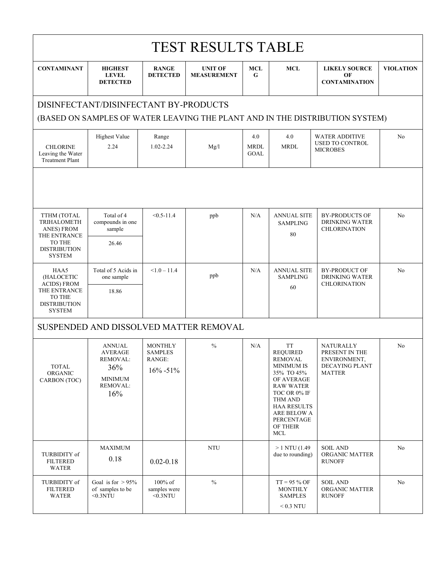| <b>TEST RESULTS TABLE</b>                                      |                                                                                         |                                                             |                                        |                            |                                                                                                                                                                                                                      |                                                                                       |                  |  |  |  |  |  |  |
|----------------------------------------------------------------|-----------------------------------------------------------------------------------------|-------------------------------------------------------------|----------------------------------------|----------------------------|----------------------------------------------------------------------------------------------------------------------------------------------------------------------------------------------------------------------|---------------------------------------------------------------------------------------|------------------|--|--|--|--|--|--|
| <b>CONTAMINANT</b>                                             | <b>HIGHEST</b><br><b>LEVEL</b><br><b>DETECTED</b>                                       | <b>RANGE</b><br><b>DETECTED</b>                             | <b>UNIT OF</b><br><b>MEASUREMENT</b>   | MCL<br>G                   | <b>MCL</b>                                                                                                                                                                                                           | <b>LIKELY SOURCE</b><br>OF<br><b>CONTAMINATION</b>                                    | <b>VIOLATION</b> |  |  |  |  |  |  |
|                                                                | DISINFECTANT/DISINFECTANT BY-PRODUCTS                                                   |                                                             |                                        |                            |                                                                                                                                                                                                                      | (BASED ON SAMPLES OF WATER LEAVING THE PLANT AND IN THE DISTRIBUTION SYSTEM)          |                  |  |  |  |  |  |  |
| <b>CHLORINE</b><br>Leaving the Water<br><b>Treatment Plant</b> | <b>Highest Value</b><br>2.24                                                            | Range<br>1.02-2.24                                          | Mg/l                                   | 4.0<br><b>MRDL</b><br>GOAL | 4.0<br><b>MRDL</b>                                                                                                                                                                                                   | <b>WATER ADDITIVE</b><br><b>USED TO CONTROL</b><br><b>MICROBES</b>                    | N <sub>o</sub>   |  |  |  |  |  |  |
|                                                                |                                                                                         |                                                             |                                        |                            |                                                                                                                                                                                                                      |                                                                                       |                  |  |  |  |  |  |  |
| TTHM (TOTAL<br>TRIHALOMETH<br>ANES) FROM<br>THE ENTRANCE       | Total of 4<br>compounds in one<br>sample                                                | $< 0.5 - 11.4$                                              | ppb                                    | N/A                        | <b>ANNUAL SITE</b><br><b>SAMPLING</b><br>80                                                                                                                                                                          | <b>BY-PRODUCTS OF</b><br><b>DRINKING WATER</b><br><b>CHLORINATION</b>                 | No               |  |  |  |  |  |  |
| TO THE<br><b>DISTRIBUTION</b><br><b>SYSTEM</b>                 | 26.46                                                                                   |                                                             |                                        |                            |                                                                                                                                                                                                                      |                                                                                       |                  |  |  |  |  |  |  |
| HAA5<br>(HALOCETIC<br><b>ACIDS) FROM</b>                       | Total of 5 Acids in<br>one sample                                                       | $< 1.0 - 11.4$                                              | ppb                                    | N/A                        | <b>ANNUAL SITE</b><br><b>SAMPLING</b><br>60                                                                                                                                                                          | <b>BY-PRODUCT OF</b><br><b>DRINKING WATER</b><br><b>CHLORINATION</b>                  | N <sub>o</sub>   |  |  |  |  |  |  |
| THE ENTRANCE<br>TO THE<br><b>DISTRIBUTION</b><br><b>SYSTEM</b> | 18.86                                                                                   |                                                             |                                        |                            |                                                                                                                                                                                                                      |                                                                                       |                  |  |  |  |  |  |  |
|                                                                |                                                                                         |                                                             | SUSPENDED AND DISSOLVED MATTER REMOVAL |                            |                                                                                                                                                                                                                      |                                                                                       |                  |  |  |  |  |  |  |
| <b>TOTAL</b><br>ORGANIC<br>CARBON (TOC)                        | <b>ANNUAL</b><br><b>AVERAGE</b><br>REMOVAL:<br>36%<br><b>MINIMUM</b><br>REMOVAL:<br>16% | <b>MONTHLY</b><br><b>SAMPLES</b><br>RANGE:<br>$16\% - 51\%$ | $\frac{0}{0}$                          | N/A                        | <b>TT</b><br><b>REQUIRED</b><br><b>REMOVAL</b><br><b>MINIMUM IS</b><br>35% TO 45%<br>OF AVERAGE<br><b>RAW WATER</b><br>TOC OR 0% IF<br>THM AND<br><b>HAA RESULTS</b><br>ARE BELOW A<br>PERCENTAGE<br>OF THEIR<br>MCL | <b>NATURALLY</b><br>PRESENT IN THE<br>ENVIRONMENT,<br>DECAYING PLANT<br><b>MATTER</b> | N <sub>o</sub>   |  |  |  |  |  |  |
| TURBIDITY of<br><b>FILTERED</b><br><b>WATER</b>                | <b>MAXIMUM</b><br>0.18                                                                  | $0.02 - 0.18$                                               | <b>NTU</b>                             |                            | $>1$ NTU (1.49)<br>due to rounding)                                                                                                                                                                                  | <b>SOIL AND</b><br>ORGANIC MATTER<br><b>RUNOFF</b>                                    | No               |  |  |  |  |  |  |
| TURBIDITY of<br><b>FILTERED</b><br><b>WATER</b>                | Goal is for $> 95\%$<br>of samples to be<br>$0.3NTU$                                    | 100% of<br>samples were<br>$0.3NTU$                         | $\frac{0}{0}$                          |                            | $TT = 95 \% OF$<br><b>MONTHLY</b><br><b>SAMPLES</b>                                                                                                                                                                  | <b>SOIL AND</b><br>ORGANIC MATTER<br><b>RUNOFF</b>                                    | No               |  |  |  |  |  |  |
|                                                                |                                                                                         |                                                             |                                        |                            | $< 0.3$ NTU                                                                                                                                                                                                          |                                                                                       |                  |  |  |  |  |  |  |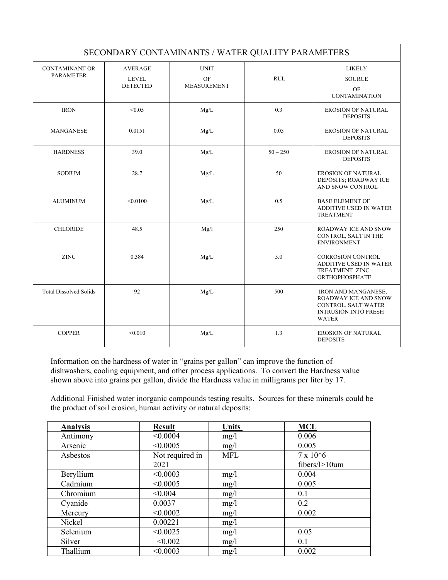|                                           |                                                   | SECONDARY CONTAMINANTS / WATER QUALITY PARAMETERS |            |                                                                                                                          |
|-------------------------------------------|---------------------------------------------------|---------------------------------------------------|------------|--------------------------------------------------------------------------------------------------------------------------|
| <b>CONTAMINANT OR</b><br><b>PARAMETER</b> | <b>AVERAGE</b><br><b>LEVEL</b><br><b>DETECTED</b> | <b>UNIT</b><br>OF<br><b>MEASUREMENT</b>           | <b>RUL</b> | <b>LIKELY</b><br><b>SOURCE</b><br>OF<br><b>CONTAMINATION</b>                                                             |
| <b>IRON</b>                               | < 0.05                                            | Mg/L                                              | 0.3        | <b>EROSION OF NATURAL</b><br><b>DEPOSITS</b>                                                                             |
| <b>MANGANESE</b>                          | 0.0151                                            | Mg/L                                              | 0.05       | <b>EROSION OF NATURAL</b><br><b>DEPOSITS</b>                                                                             |
| <b>HARDNESS</b>                           | 39.0                                              | Mg/L                                              | $50 - 250$ | <b>EROSION OF NATURAL</b><br><b>DEPOSITS</b>                                                                             |
| <b>SODIUM</b>                             | 28.7                                              | Mg/L                                              | 50         | <b>EROSION OF NATURAL</b><br>DEPOSITS; ROADWAY ICE<br>AND SNOW CONTROL                                                   |
| <b>ALUMINUM</b>                           | < 0.0100                                          | Mg/L                                              | 0.5        | <b>BASE ELEMENT OF</b><br>ADDITIVE USED IN WATER<br><b>TREATMENT</b>                                                     |
| <b>CHLORIDE</b>                           | 48.5                                              | Mg/l                                              | 250        | <b>ROADWAY ICE AND SNOW</b><br>CONTROL, SALT IN THE<br><b>ENVIRONMENT</b>                                                |
| <b>ZINC</b>                               | 0.384                                             | Mg/L                                              | 5.0        | <b>CORROSION CONTROL</b><br><b>ADDITIVE USED IN WATER</b><br>TREATMENT ZINC -<br><b>ORTHOPHOSPHATE</b>                   |
| <b>Total Dissolved Solids</b>             | 92                                                | Mg/L                                              | 500        | <b>IRON AND MANGANESE,</b><br>ROADWAY ICE AND SNOW<br>CONTROL, SALT WATER<br><b>INTRUSION INTO FRESH</b><br><b>WATER</b> |
| <b>COPPER</b>                             | < 0.010                                           | Mg/L                                              | 1.3        | <b>EROSION OF NATURAL</b><br><b>DEPOSITS</b>                                                                             |

Information on the hardness of water in "grains per gallon" can improve the function of dishwashers, cooling equipment, and other process applications. To convert the Hardness value shown above into grains per gallon, divide the Hardness value in milligrams per liter by 17.

Additional Finished water inorganic compounds testing results. Sources for these minerals could be the product of soil erosion, human activity or natural deposits:

| <b>Analysis</b> | <b>Result</b>   | <b>Units</b> | <b>MCL</b>        |
|-----------------|-----------------|--------------|-------------------|
| Antimony        | < 0.0004        | mg/1         | 0.006             |
| Arsenic         | < 0.0005        | mg/1         | 0.005             |
| Asbestos        | Not required in | <b>MFL</b>   | $7 \times 10^{6}$ |
|                 | 2021            |              | $fibers/l>10$ um  |
| Beryllium       | < 0.0003        | mg/1         | 0.004             |
| Cadmium         | < 0.0005        | mg/1         | 0.005             |
| Chromium        | < 0.004         | mg/1         | 0.1               |
| Cyanide         | 0.0037          | mg/1         | 0.2               |
| Mercury         | < 0.0002        | mg/1         | 0.002             |
| Nickel          | 0.00221         | mg/1         |                   |
| Selenium        | < 0.0025        | mg/1         | 0.05              |
| Silver          | < 0.002         | mg/1         | 0.1               |
| Thallium        | < 0.0003        | mg/1         | 0.002             |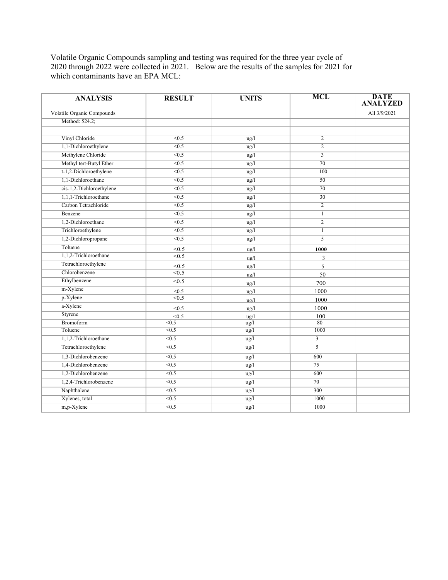Volatile Organic Compounds sampling and testing was required for the three year cycle of 2020 through 2022 were collected in 2021. Below are the results of the samples for 2021 for which contaminants have an EPA MCL:

| <b>ANALYSIS</b>            | <b>RESULT</b>     | <b>UNITS</b>   | <b>MCL</b>              | <b>DATE</b><br><b>ANALYZED</b> |
|----------------------------|-------------------|----------------|-------------------------|--------------------------------|
| Volatile Organic Compounds |                   |                |                         | All 3/9/2021                   |
| Method: 524.2;             |                   |                |                         |                                |
|                            |                   |                |                         |                                |
| Vinyl Chloride             | < 0.5             | $\frac{u}{g}$  | $\overline{c}$          |                                |
| 1,1-Dichloroethylene       | < 0.5             | ug/l           | $\overline{2}$          |                                |
| Methylene Chloride         | $\overline{0.5}$  | ug/l           | $\overline{\mathbf{3}}$ |                                |
| Methyl tert-Butyl Ether    | < 0.5             | ug/l           | 70                      |                                |
| t-1,2-Dichloroethylene     | <0.5              | ug/l           | 100                     |                                |
| 1,1-Dichloroethane         | < 0.5             | ug/l           | 50                      |                                |
| cis-1,2-Dichloroethylene   | $\overline{<}0.5$ | ug/l           | $\overline{70}$         |                                |
| 1,1,1-Trichloroethane      | $\overline{<}0.5$ | ug/l           | $\overline{30}$         |                                |
| Carbon Tetrachloride       | $\overline{<}0.5$ | ug/l           | $\overline{2}$          |                                |
| Benzene                    | $\overline{0.5}$  | $\frac{u}{g}$  | $\mathbf{1}$            |                                |
| 1,2-Dichloroethane         | $\overline{<}0.5$ | ug/l           | $\overline{2}$          |                                |
| Trichloroethylene          | < 0.5             | ug/l           | $\mathbf{1}$            |                                |
| 1,2-Dichloropropane        | $\overline{<}0.5$ | ug/l           | $\overline{5}$          |                                |
| Toluene                    | < 0.5             | ug/l           | 1000                    |                                |
| 1,1,2-Trichloroethane      | < 0.5             | $u\alpha/l$    | $\overline{3}$          |                                |
| Tetrachloroethylene        | < 0.5             | $\frac{u}{g}$  | 5                       |                                |
| Chlorobenzene              | $\overline{5}$    | ug/l           | 50                      |                                |
| Ethylbenzene               | < 0.5             | $\frac{ug}{l}$ | 700                     |                                |
| m-Xylene                   | < 0.5             | $u\alpha/l$    | 1000                    |                                |
| p-Xylene                   | $\overline{5}$    | $u\alpha/l$    | 1000                    |                                |
| a-Xylene                   | < 0.5             | $u\alpha/l$    | 1000                    |                                |
| Styrene                    | < 0.5             | $u\alpha/l$    | 100                     |                                |
| Bromoform                  | < 0.5             | $\frac{u}{g}$  | 80                      |                                |
| Toluene                    | $\overline{5}$    | ug/l           | 1000                    |                                |
| 1,1,2-Trichloroethane      | $\overline{5}$    | ug/l           | $\overline{3}$          |                                |
| Tetrachloroethylene        | $\overline{5}$    | ug/l           | $\overline{5}$          |                                |
| 1,3-Dichlorobenzene        | < 0.5             | ug/l           | 600                     |                                |
| 1,4-Dichlorobenzene        | $\overline{5}$    | ug/l           | $\overline{75}$         |                                |
| 1,2-Dichlorobenzene        | $\overline{<}0.5$ | ug/l           | 600                     |                                |
| 1,2,4-Trichlorobenzene     | $\overline{5}$    | $\frac{u}{g}$  | 70                      |                                |
| Naphthalene                | < 0.5             | ug/l           | 300                     |                                |
| Xylenes, total             | $\overline{5}$    | ug/l           | 1000                    |                                |
| $m$ , p-Xylene             | $\overline{<}0.5$ | ug/l           | 1000                    |                                |
|                            |                   |                |                         |                                |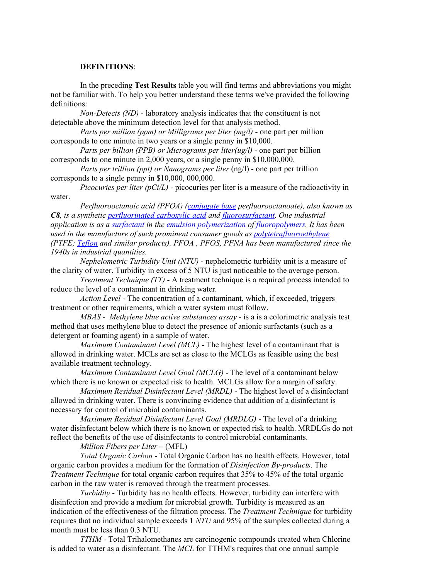#### **DEFINITIONS**:

In the preceding **Test Results** table you will find terms and abbreviations you might not be familiar with. To help you better understand these terms we've provided the following definitions:

*Non-Detects (ND)* - laboratory analysis indicates that the constituent is not detectable above the minimum detection level for that analysis method.

*Parts per million (ppm) or Milligrams per liter (mg/l)* - one part per million corresponds to one minute in two years or a single penny in \$10,000.

*Parts per billion (PPB) or Micrograms per liter(ug/l)* - one part per billion corresponds to one minute in 2,000 years, or a single penny in \$10,000,000.

*Parts per trillion (ppt) or Nanograms per liter* (ng/l) - one part per trillion corresponds to a single penny in \$10,000, 000,000.

*Picocuries per liter (pCi/L)* - picocuries per liter is a measure of the radioactivity in water.

*Perfluorooctanoic acid (PFOA) [\(conjugate base](https://en.wikipedia.org/wiki/Conjugate_acid) perfluorooctanoate), also known as C8, is a synthetic [perfluorinated carboxylic acid](https://en.wikipedia.org/wiki/Perfluorinated_carboxylic_acid) and [fluorosurfactant.](https://en.wikipedia.org/wiki/Fluorosurfactant) One industrial application is as a [surfactant](https://en.wikipedia.org/wiki/Surfactant) in the [emulsion polymerization](https://en.wikipedia.org/wiki/Emulsion_polymerization) of [fluoropolymers.](https://en.wikipedia.org/wiki/Fluoropolymers) It has been used in the manufacture of such prominent consumer goods as [polytetrafluoroethylene](https://en.wikipedia.org/wiki/Polytetrafluoroethylene) (PTFE; [Teflon](https://en.wikipedia.org/wiki/Teflon) and similar products). PFOA , PFOS, PFNA has been manufactured since the 1940s in industrial quantities.*

*Nephelometric Turbidity Unit (NTU)* - nephelometric turbidity unit is a measure of the clarity of water. Turbidity in excess of 5 NTU is just noticeable to the average person.

*Treatment Technique (TT)* - A treatment technique is a required process intended to reduce the level of a contaminant in drinking water.

*Action Level* - The concentration of a contaminant, which, if exceeded, triggers treatment or other requirements, which a water system must follow.

*MBAS - Methylene blue active substances assay -* is a is a colorimetric analysis test method that uses methylene blue to detect the presence of anionic surfactants (such as a detergent or foaming agent) in a sample of water.

*Maximum Contaminant Level (MCL) -* The highest level of a contaminant that is allowed in drinking water. MCLs are set as close to the MCLGs as feasible using the best available treatment technology.

*Maximum Contaminant Level Goal (MCLG)* - The level of a contaminant below which there is no known or expected risk to health. MCLGs allow for a margin of safety.

*Maximum Residual Disinfectant Level (MRDL)* - The highest level of a disinfectant allowed in drinking water. There is convincing evidence that addition of a disinfectant is necessary for control of microbial contaminants.

*Maximum Residual Disinfectant Level Goal (MRDLG)* - The level of a drinking water disinfectant below which there is no known or expected risk to health. MRDLGs do not reflect the benefits of the use of disinfectants to control microbial contaminants.

### *Million Fibers per Liter* – (MFL)

*Total Organic Carbon* - Total Organic Carbon has no health effects. However, total organic carbon provides a medium for the formation of *Disinfection By-products*. The *Treatment Technique* for total organic carbon requires that 35% to 45% of the total organic carbon in the raw water is removed through the treatment processes.

*Turbidity* - Turbidity has no health effects. However, turbidity can interfere with disinfection and provide a medium for microbial growth. Turbidity is measured as an indication of the effectiveness of the filtration process. The *Treatment Technique* for turbidity requires that no individual sample exceeds 1 *NTU* and 95% of the samples collected during a month must be less than 0.3 NTU.

*TTHM -* Total Trihalomethanes are carcinogenic compounds created when Chlorine is added to water as a disinfectant. The *MCL* for TTHM's requires that one annual sample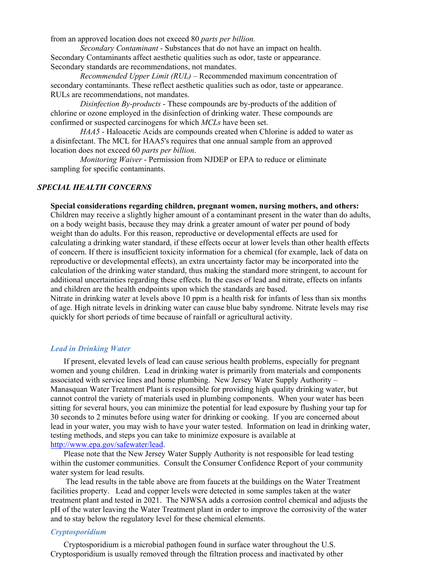from an approved location does not exceed 80 *parts per billion.* 

*Secondary Contaminant* - Substances that do not have an impact on health. Secondary Contaminants affect aesthetic qualities such as odor, taste or appearance. Secondary standards are recommendations, not mandates.

*Recommended Upper Limit (RUL)* – Recommended maximum concentration of secondary contaminants. These reflect aesthetic qualities such as odor, taste or appearance. RULs are recommendations, not mandates.

*Disinfection By-products* - These compounds are by-products of the addition of chlorine or ozone employed in the disinfection of drinking water. These compounds are confirmed or suspected carcinogens for which *MCLs* have been set.

*HAA5* - Haloacetic Acids are compounds created when Chlorine is added to water as a disinfectant. The MCL for HAA5's requires that one annual sample from an approved location does not exceed 60 *parts per billion*.

*Monitoring Waiver* - Permission from NJDEP or EPA to reduce or eliminate sampling for specific contaminants.

#### *SPECIAL HEALTH CONCERNS*

**Special considerations regarding children, pregnant women, nursing mothers, and others:**

Children may receive a slightly higher amount of a contaminant present in the water than do adults, on a body weight basis, because they may drink a greater amount of water per pound of body weight than do adults. For this reason, reproductive or developmental effects are used for calculating a drinking water standard, if these effects occur at lower levels than other health effects of concern. If there is insufficient toxicity information for a chemical (for example, lack of data on reproductive or developmental effects), an extra uncertainty factor may be incorporated into the calculation of the drinking water standard, thus making the standard more stringent, to account for additional uncertainties regarding these effects. In the cases of lead and nitrate, effects on infants and children are the health endpoints upon which the standards are based.

Nitrate in drinking water at levels above 10 ppm is a health risk for infants of less than six months of age. High nitrate levels in drinking water can cause blue baby syndrome. Nitrate levels may rise quickly for short periods of time because of rainfall or agricultural activity.

#### *Lead in Drinking Water*

If present, elevated levels of lead can cause serious health problems, especially for pregnant women and young children. Lead in drinking water is primarily from materials and components associated with service lines and home plumbing. New Jersey Water Supply Authority – Manasquan Water Treatment Plant is responsible for providing high quality drinking water, but cannot control the variety of materials used in plumbing components. When your water has been sitting for several hours, you can minimize the potential for lead exposure by flushing your tap for 30 seconds to 2 minutes before using water for drinking or cooking. If you are concerned about lead in your water, you may wish to have your water tested. Information on lead in drinking water, testing methods, and steps you can take to minimize exposure is available at [http://www.epa.gov/safewater/lead.](http://www.epa.gov/safewater/lead)

Please note that the New Jersey Water Supply Authority is not responsible for lead testing within the customer communities. Consult the Consumer Confidence Report of your community water system for lead results.

The lead results in the table above are from faucets at the buildings on the Water Treatment facilities property. Lead and copper levels were detected in some samples taken at the water treatment plant and tested in 2021. The NJWSA adds a corrosion control chemical and adjusts the pH of the water leaving the Water Treatment plant in order to improve the corrosivity of the water and to stay below the regulatory level for these chemical elements.

#### *Cryptosporidium*

Cryptosporidium is a microbial pathogen found in surface water throughout the U.S. Cryptosporidium is usually removed through the filtration process and inactivated by other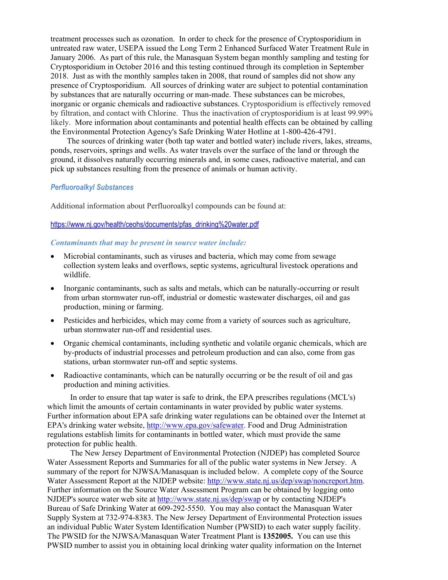treatment processes such as ozonation. In order to check for the presence of Cryptosporidium in untreated raw water, USEPA issued the Long Term 2 Enhanced Surfaced Water Treatment Rule in January 2006. As part of this rule, the Manasquan System began monthly sampling and testing for Cryptosporidium in October 2016 and this testing continued through its completion in September 2018. Just as with the monthly samples taken in 2008, that round of samples did not show any presence of Cryptosporidium. All sources of drinking water are subject to potential contamination by substances that are naturally occurring or man-made. These substances can be microbes, inorganic or organic chemicals and radioactive substances. Cryptosporidium is effectively removed by filtration, and contact with Chlorine. Thus the inactivation of cryptosporidium is at least 99.99% likely. More information about contaminants and potential health effects can be obtained by calling the Environmental Protection Agency's Safe Drinking Water Hotline at 1-800-426-4791.

The sources of drinking water (both tap water and bottled water) include rivers, lakes, streams, ponds, reservoirs, springs and wells. As water travels over the surface of the land or through the ground, it dissolves naturally occurring minerals and, in some cases, radioactive material, and can pick up substances resulting from the presence of animals or human activity.

#### *Perfluoroalkyl Substances*

Additional information about Perfluoroalkyl compounds can be found at:

#### [https://www.nj.gov/health/ceohs/documents/pfas\\_drinking%20water.pdf](https://www.nj.gov/health/ceohs/documents/pfas_drinking%20water.pdf)

#### *Contaminants that may be present in source water include:*

- Microbial contaminants, such as viruses and bacteria, which may come from sewage collection system leaks and overflows, septic systems, agricultural livestock operations and wildlife.
- Inorganic contaminants, such as salts and metals, which can be naturally-occurring or result from urban stormwater run-off, industrial or domestic wastewater discharges, oil and gas production, mining or farming.
- Pesticides and herbicides, which may come from a variety of sources such as agriculture, urban stormwater run-off and residential uses.
- Organic chemical contaminants, including synthetic and volatile organic chemicals, which are by-products of industrial processes and petroleum production and can also, come from gas stations, urban stormwater run-off and septic systems.
- Radioactive contaminants, which can be naturally occurring or be the result of oil and gas production and mining activities.

In order to ensure that tap water is safe to drink, the EPA prescribes regulations (MCL's) which limit the amounts of certain contaminants in water provided by public water systems. Further information about EPA safe drinking water regulations can be obtained over the Internet at EPA's drinking water website, [http://www.epa.gov/safewater.](http://www.epa.gov/safewater) Food and Drug Administration regulations establish limits for contaminants in bottled water, which must provide the same protection for public health.

The New Jersey Department of Environmental Protection (NJDEP) has completed Source Water Assessment Reports and Summaries for all of the public water systems in New Jersey. A summary of the report for NJWSA/Manasquan is included below. A complete copy of the Source Water Assessment Report at the NJDEP website: [http://www.state.nj.us/dep/swap/noncreport.htm.](http://www.state.nj.us/dep/swap/noncreport.htm) Further information on the Source Water Assessment Program can be obtained by logging onto NJDEP's source water web site at<http://www.state.nj.us/dep/swap> or by contacting NJDEP's Bureau of Safe Drinking Water at 609-292-5550. You may also contact the Manasquan Water Supply System at 732-974-8383. The New Jersey Department of Environmental Protection issues an individual Public Water System Identification Number (PWSID) to each water supply facility. The PWSID for the NJWSA/Manasquan Water Treatment Plant is **1352005.** You can use this PWSID number to assist you in obtaining local drinking water quality information on the Internet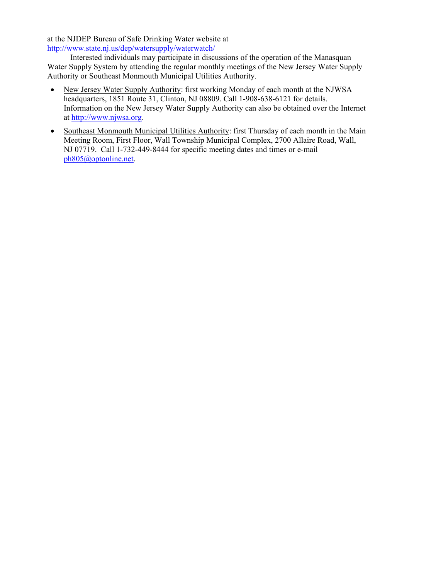at the NJDEP Bureau of Safe Drinking Water website at <http://www.state.nj.us/dep/watersupply/waterwatch/>

Interested individuals may participate in discussions of the operation of the Manasquan Water Supply System by attending the regular monthly meetings of the New Jersey Water Supply Authority or Southeast Monmouth Municipal Utilities Authority.

- New Jersey Water Supply Authority: first working Monday of each month at the NJWSA headquarters, 1851 Route 31, Clinton, NJ 08809. Call 1-908-638-6121 for details. Information on the New Jersey Water Supply Authority can also be obtained over the Internet at [http://www.njwsa.org](http://www.njwsa.org/)*.*
- Southeast Monmouth Municipal Utilities Authority: first Thursday of each month in the Main Meeting Room, First Floor, Wall Township Municipal Complex, 2700 Allaire Road, Wall, NJ 07719. Call 1-732-449-8444 for specific meeting dates and times or e-mail [ph805@optonline.net.](mailto:ph805@optonline.net)